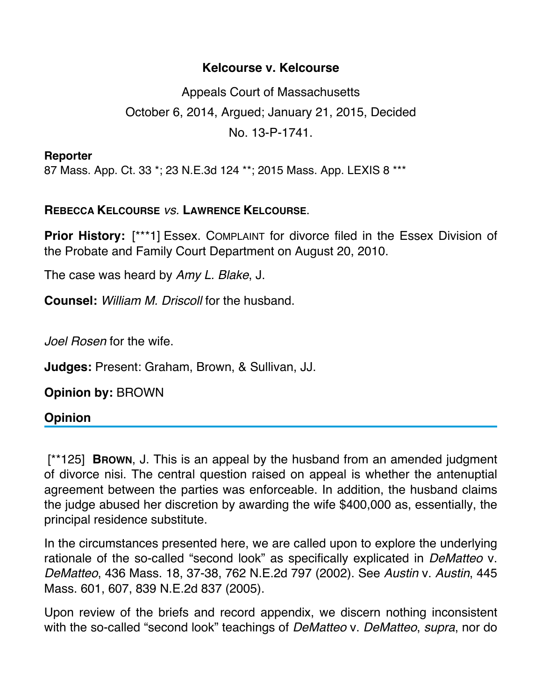## **Kelcourse v. Kelcourse**

Appeals Court of Massachusetts October 6, 2014, Argued; January 21, 2015, Decided No. 13-P-1741.

**Reporter**

87 Mass. App. Ct. 33 \*; 23 N.E.3d 124 \*\*; 2015 Mass. App. LEXIS 8 \*\*\*

## **REBECCA KELCOURSE** *vs.* **LAWRENCE KELCOURSE**.

**Prior History:** [\*\*\*1] Essex. COMPLAINT for divorce filed in the Essex Division of the Probate and Family Court Department on August 20, 2010.

The case was heard by *Amy L. Blake*, J.

**Counsel:** *William M. Driscoll* for the husband.

*Joel Rosen* for the wife.

**Judges:** Present: Graham, Brown, & Sullivan, JJ.

**Opinion by:** BROWN

## **Opinion**

 [\*\*125] **BROWN**, J. This is an appeal by the husband from an amended judgment of divorce nisi. The central question raised on appeal is whether the antenuptial agreement between the parties was enforceable. In addition, the husband claims the judge abused her discretion by awarding the wife \$400,000 as, essentially, the principal residence substitute.

In the circumstances presented here, we are called upon to explore the underlying rationale of the so-called "second look" as specifically explicated in *DeMatteo* v. *DeMatteo*, 436 Mass. 18, 37-38, 762 N.E.2d 797 (2002). See *Austin* v. *Austin*, 445 Mass. 601, 607, 839 N.E.2d 837 (2005).

Upon review of the briefs and record appendix, we discern nothing inconsistent with the so-called "second look" teachings of *DeMatteo* v. *DeMatteo*, *supra*, nor do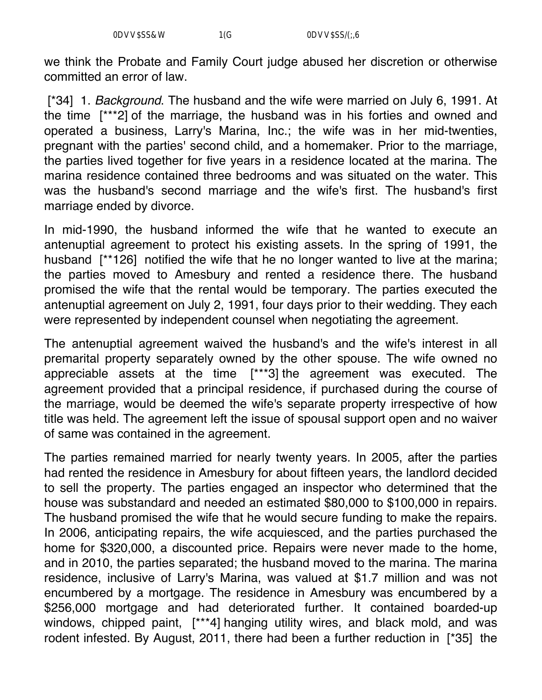we think the Probate and Family Court judge abused her discretion or otherwise committed an error of law.

[\*34] 1. *Background*. The husband and the wife were married on July 6, 1991. At the time [\*\*\*2] of the marriage, the husband was in his forties and owned and operated a business, Larry's Marina, Inc.; the wife was in her mid-twenties, pregnant with the parties' second child, and a homemaker. Prior to the marriage, the parties lived together for five years in a residence located at the marina. The marina residence contained three bedrooms and was situated on the water. This was the husband's second marriage and the wife's first. The husband's first marriage ended by divorce.

In mid-1990, the husband informed the wife that he wanted to execute an antenuptial agreement to protect his existing assets. In the spring of 1991, the husband [\*\*126] notified the wife that he no longer wanted to live at the marina; the parties moved to Amesbury and rented a residence there. The husband promised the wife that the rental would be temporary. The parties executed the antenuptial agreement on July 2, 1991, four days prior to their wedding. They each were represented by independent counsel when negotiating the agreement.

The antenuptial agreement waived the husband's and the wife's interest in all premarital property separately owned by the other spouse. The wife owned no appreciable assets at the time [\*\*\*3] the agreement was executed. The agreement provided that a principal residence, if purchased during the course of the marriage, would be deemed the wife's separate property irrespective of how title was held. The agreement left the issue of spousal support open and no waiver of same was contained in the agreement.

The parties remained married for nearly twenty years. In 2005, after the parties had rented the residence in Amesbury for about fifteen years, the landlord decided to sell the property. The parties engaged an inspector who determined that the house was substandard and needed an estimated \$80,000 to \$100,000 in repairs. The husband promised the wife that he would secure funding to make the repairs. In 2006, anticipating repairs, the wife acquiesced, and the parties purchased the home for \$320,000, a discounted price. Repairs were never made to the home, and in 2010, the parties separated; the husband moved to the marina. The marina residence, inclusive of Larry's Marina, was valued at \$1.7 million and was not encumbered by a mortgage. The residence in Amesbury was encumbered by a \$256,000 mortgage and had deteriorated further. It contained boarded-up windows, chipped paint, [\*\*\*4] hanging utility wires, and black mold, and was rodent infested. By August, 2011, there had been a further reduction in [\*35] the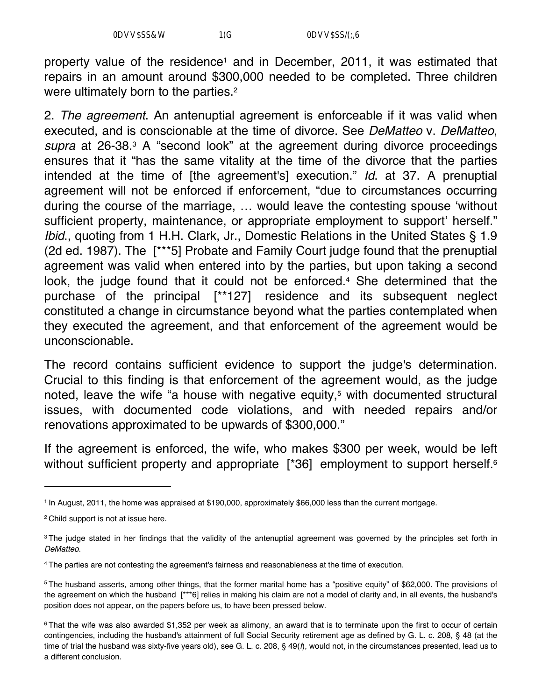property value of the residence<sup>1</sup> and in December, 2011, it was estimated that repairs in an amount around \$300,000 needed to be completed. Three children were ultimately born to the parties.<sup>2</sup>

2. *The agreement*. An antenuptial agreement is enforceable if it was valid when executed, and is conscionable at the time of divorce. See *DeMatteo* v. *DeMatteo*, *supra* at 26-38.3 A "second look" at the agreement during divorce proceedings ensures that it "has the same vitality at the time of the divorce that the parties intended at the time of [the agreement's] execution." *Id*. at 37. A prenuptial agreement will not be enforced if enforcement, "due to circumstances occurring during the course of the marriage, … would leave the contesting spouse 'without sufficient property, maintenance, or appropriate employment to support' herself." *Ibid.*, quoting from 1 H.H. Clark, Jr., Domestic Relations in the United States § 1.9 (2d ed. 1987). The [\*\*\*5] Probate and Family Court judge found that the prenuptial agreement was valid when entered into by the parties, but upon taking a second look, the judge found that it could not be enforced.<sup>4</sup> She determined that the purchase of the principal [\*\*127] residence and its subsequent neglect constituted a change in circumstance beyond what the parties contemplated when they executed the agreement, and that enforcement of the agreement would be unconscionable.

The record contains sufficient evidence to support the judge's determination. Crucial to this finding is that enforcement of the agreement would, as the judge noted, leave the wife "a house with negative equity,<sup>5</sup> with documented structural issues, with documented code violations, and with needed repairs and/or renovations approximated to be upwards of \$300,000."

If the agreement is enforced, the wife, who makes \$300 per week, would be left without sufficient property and appropriate [\*36] employment to support herself.<sup>6</sup>

<sup>1</sup> In August, 2011, the home was appraised at \$190,000, approximately \$66,000 less than the current mortgage.

<sup>2</sup> Child support is not at issue here.

<sup>&</sup>lt;sup>3</sup> The judge stated in her findings that the validity of the antenuptial agreement was governed by the principles set forth in *DeMatteo*.

<sup>4</sup> The parties are not contesting the agreement's fairness and reasonableness at the time of execution.

<sup>5</sup> The husband asserts, among other things, that the former marital home has a "positive equity" of \$62,000. The provisions of the agreement on which the husband [\*\*\*6] relies in making his claim are not a model of clarity and, in all events, the husband's position does not appear, on the papers before us, to have been pressed below.

<sup>&</sup>lt;sup>6</sup> That the wife was also awarded \$1,352 per week as alimony, an award that is to terminate upon the first to occur of certain contingencies, including the husband's attainment of full Social Security retirement age as defined by G. L. c. 208, § 48 (at the time of trial the husband was sixty-five years old), see G. L. c. 208, § 49(*f*), would not, in the circumstances presented, lead us to a different conclusion.